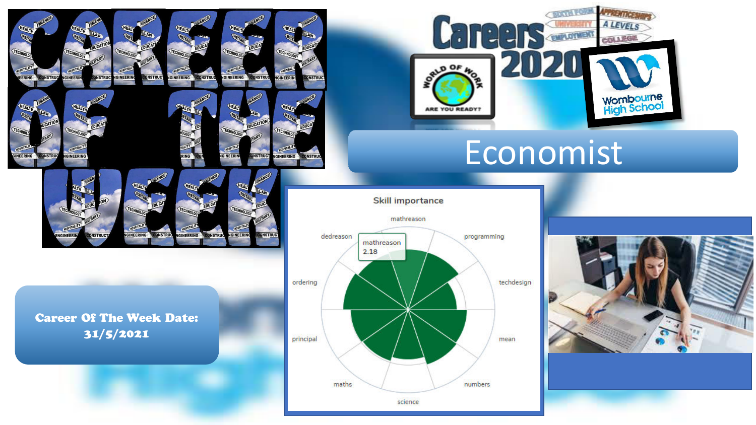Career Of The Week Date: 31/5/2021

**INFERING** 

**INSTRI** 

**ONSTRUC** 

**ONSTRUC** 

ERING

NEERING

**ONSTRU** 

**QNSTRI** 

**INFERIP** 

**INEERI** 

GINFFR

CONSTRU

**IGINEERING** 

GINEERING

**GINEERING** 

TECHNO

GINEERIN

**CONSTRU** 

**QNSTRUC** 

**INEERIN** 

GINEERING

CONSTRU

**INSTRUC** 





# Economist

**Skill importance** 



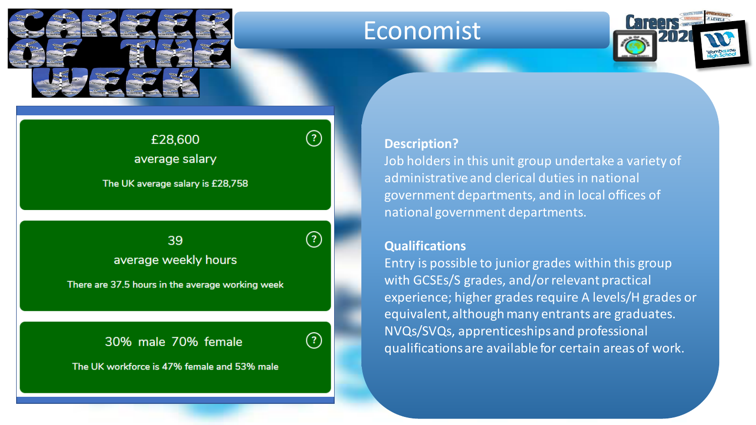

## **Economist**



### £28,600 average salary

The UK average salary is £28,758

Insert average salary, weekly hours and  $\tilde{G}$ average weekly hours

There are 37.5 hours in the average working week

30% male 70% female

The UK workforce is 47% female and 53% male

#### **Description?**

Job holders in this unit group undertake a variety of administrative and clerical duties in national government departments, and in local offices of national government departments.

#### **Qualifications**

Entry is possible to junior grades within this group with GCSEs/S grades, and/or relevant practical experience; higher grades require A levels/H grades or equivalent, although many entrants are graduates. NVQs/SVQs, apprenticeships and professional qualifications are available for certain areas of work.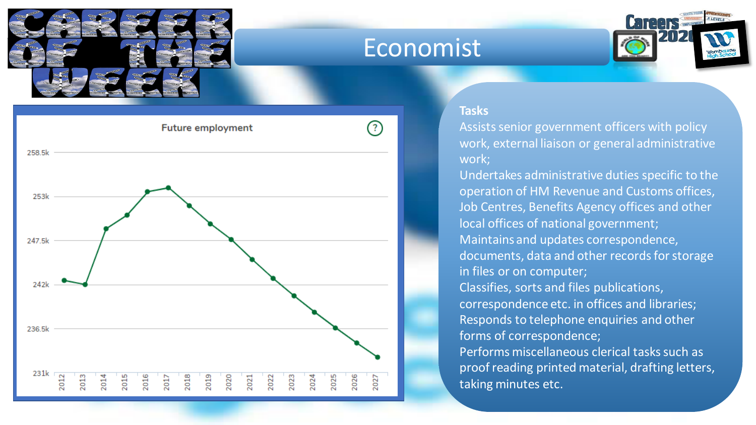

### Economist





#### **Tasks**

Assists senior government officers with policy work, external liaison or general administrative work;

Undertakes administrative duties specific to the operation of HM Revenue and Customs offices, Job Centres, Benefits Agency offices and other local offices of national government; Maintains and updates correspondence, documents, data and other records for storage in files or on computer; Classifies, sorts and files publications, correspondence etc. in offices and libraries; Responds to telephone enquiries and other forms of correspondence; Performs miscellaneous clerical tasks such as proof reading printed material, drafting letters, taking minutes etc.